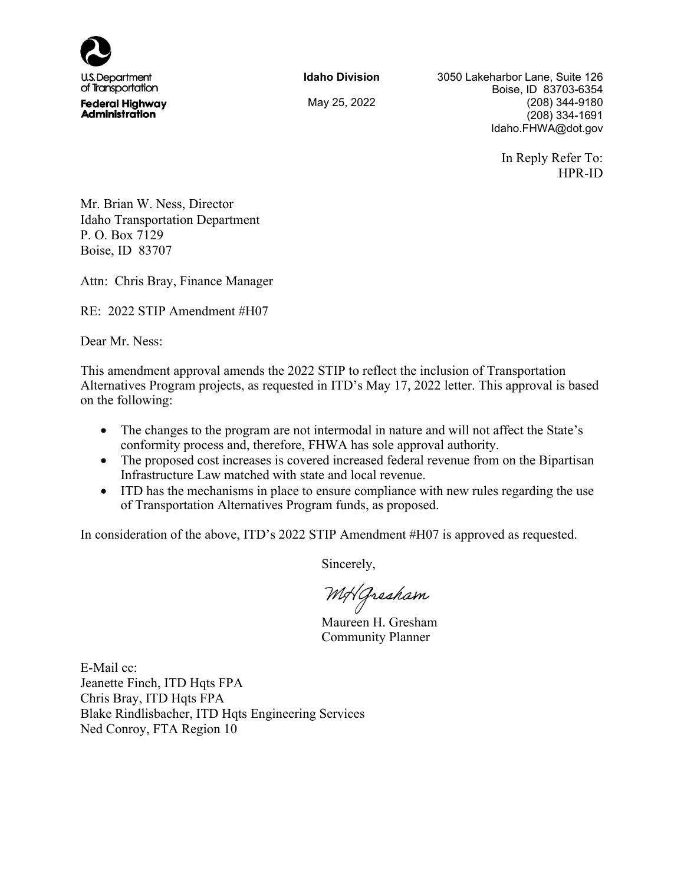

**Idaho Division** 3050 Lakeharbor Lane, Suite 126 Boise, ID 83703-6354 May 25, 2022 (208) 344-9180 (208) 334-1691 Idaho.FHWA@dot.gov

> In Reply Refer To: HPR-ID

Mr. Brian W. Ness, Director Idaho Transportation Department P. O. Box 7129 Boise, ID 83707

Attn: Chris Bray, Finance Manager

RE: 2022 STIP Amendment #H07

Dear Mr. Ness:

This amendment approval amends the 2022 STIP to reflect the inclusion of Transportation Alternatives Program projects, as requested in ITD's May 17, 2022 letter. This approval is based on the following:

- The changes to the program are not intermodal in nature and will not affect the State's conformity process and, therefore, FHWA has sole approval authority.
- The proposed cost increases is covered increased federal revenue from on the Bipartisan Infrastructure Law matched with state and local revenue.
- ITD has the mechanisms in place to ensure compliance with new rules regarding the use of Transportation Alternatives Program funds, as proposed.

In consideration of the above, ITD's 2022 STIP Amendment #H07 is approved as requested.

Sincerely,

MH Gresham

Maureen H. Gresham Community Planner

E-Mail cc: Jeanette Finch, ITD Hqts FPA Chris Bray, ITD Hqts FPA Blake Rindlisbacher, ITD Hqts Engineering Services Ned Conroy, FTA Region 10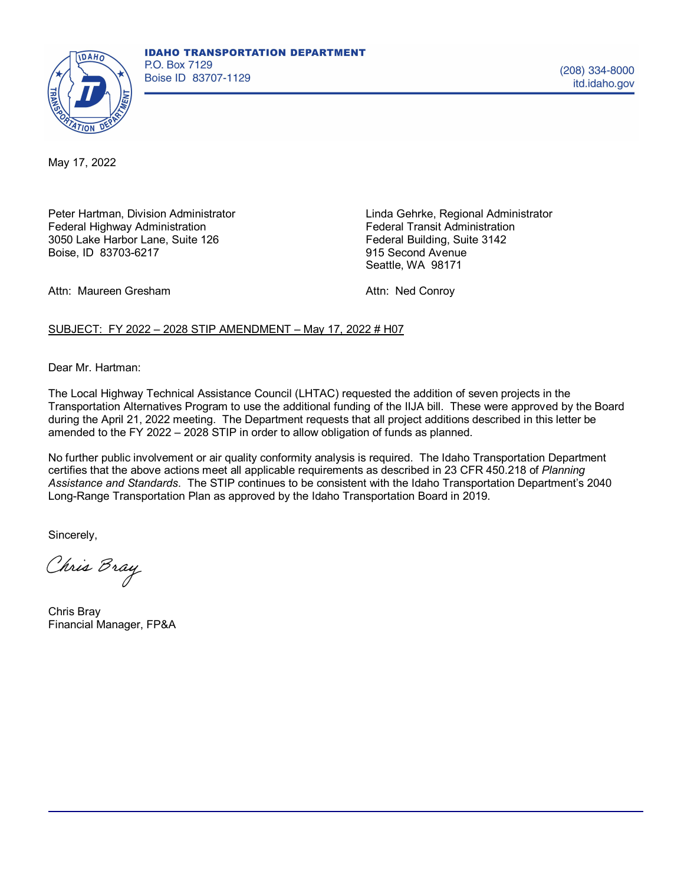

May 17, 2022

Peter Hartman, Division Administrator Federal Highway Administration 3050 Lake Harbor Lane, Suite 126 Boise, ID 83703-6217

Linda Gehrke, Regional Administrator Federal Transit Administration Federal Building, Suite 3142 915 Second Avenue Seattle, WA 98171

Attn: Maureen Gresham

Attn: Ned Conroy

## SUBJECT: FY 2022 – 2028 STIP AMENDMENT – May 17, 2022 # H07

Dear Mr. Hartman:

The Local Highway Technical Assistance Council (LHTAC) requested the addition of seven projects in the Transportation Alternatives Program to use the additional funding of the IIJA bill. These were approved by the Board during the April 21, 2022 meeting. The Department requests that all project additions described in this letter be amended to the FY 2022 – 2028 STIP in order to allow obligation of funds as planned.

No further public involvement or air quality conformity analysis is required. The Idaho Transportation Department certifies that the above actions meet all applicable requirements as described in 23 CFR 450.218 of *Planning Assistance and Standards*. The STIP continues to be consistent with the Idaho Transportation Department's 2040 Long-Range Transportation Plan as approved by the Idaho Transportation Board in 2019.

Sincerely,

Chris Bray

Chris Bray Financial Manager, FP&A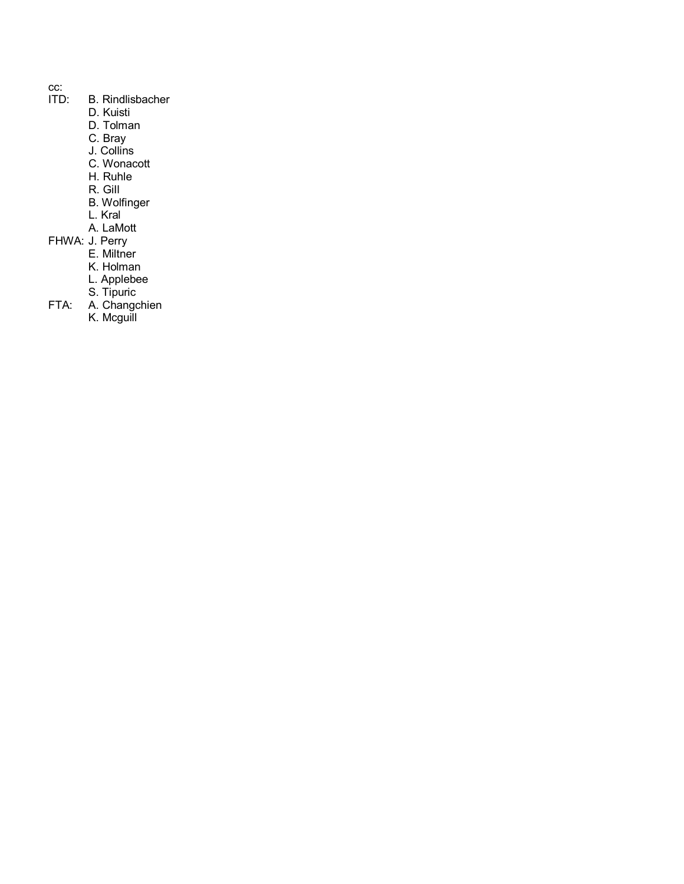- 
- cc:<br>ITD: B. Rindlisbacher
	- D. Kuisti
	- D. Tolman
	- C. Bray
	- J. Collins
	- C. Wonacott
	- H. Ruhle
	- R. GiIl
	- B. Wolfinger
	- L. Kral
	- A. LaMott
- FHWA: J. Perry
	- E. Miltner
	- K. Holman
	- L. Applebee
	- S. Tipuric
- FTA: A. Changchien
	- K. Mcguill